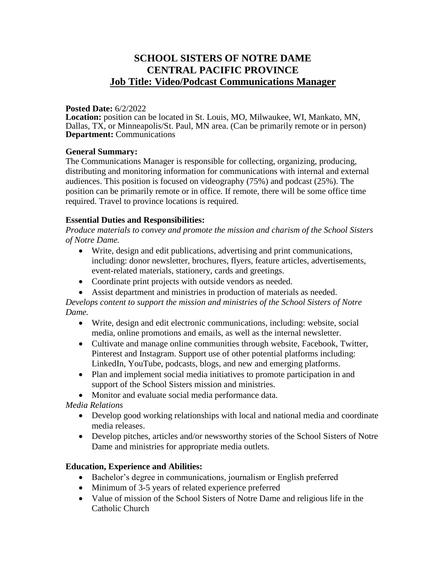# **SCHOOL SISTERS OF NOTRE DAME CENTRAL PACIFIC PROVINCE Job Title: Video/Podcast Communications Manager**

#### **Posted Date:** 6/2/2022

**Location:** position can be located in St. Louis, MO, Milwaukee, WI, Mankato, MN, Dallas, TX, or Minneapolis/St. Paul, MN area. (Can be primarily remote or in person) **Department:** Communications

#### **General Summary:**

The Communications Manager is responsible for collecting, organizing, producing, distributing and monitoring information for communications with internal and external audiences. This position is focused on videography (75%) and podcast (25%). The position can be primarily remote or in office. If remote, there will be some office time required. Travel to province locations is required.

### **Essential Duties and Responsibilities:**

*Produce materials to convey and promote the mission and charism of the School Sisters of Notre Dame.*

- Write, design and edit publications, advertising and print communications, including: donor newsletter, brochures, flyers, feature articles, advertisements, event-related materials, stationery, cards and greetings.
- Coordinate print projects with outside vendors as needed.
- Assist department and ministries in production of materials as needed.

*Develops content to support the mission and ministries of the School Sisters of Notre Dame.*

- Write, design and edit electronic communications, including: website, social media, online promotions and emails, as well as the internal newsletter.
- Cultivate and manage online communities through website, Facebook, Twitter, Pinterest and Instagram. Support use of other potential platforms including: LinkedIn, YouTube, podcasts, blogs, and new and emerging platforms.
- Plan and implement social media initiatives to promote participation in and support of the School Sisters mission and ministries.

• Monitor and evaluate social media performance data.

*Media Relations*

- Develop good working relationships with local and national media and coordinate media releases.
- Develop pitches, articles and/or newsworthy stories of the School Sisters of Notre Dame and ministries for appropriate media outlets.

## **Education, Experience and Abilities:**

- Bachelor's degree in communications, journalism or English preferred
- Minimum of 3-5 years of related experience preferred
- Value of mission of the School Sisters of Notre Dame and religious life in the Catholic Church